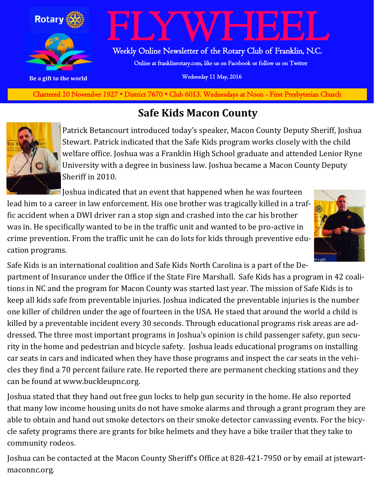

**Charted November 29, 1927 • District 7670 • Club 6013 Wednesdays at Noon - First Presbyterian Church** Chartered 10 November 1927 • District 7670 • Club 6013. Wednesdays at Noon - First Presbyterian Church

#### **Safe Kids Macon County**



Patrick Betancourt introduced today's speaker, Macon County Deputy Sheriff, Joshua Stewart. Patrick indicated that the Safe Kids program works closely with the child welfare office. Joshua was a Franklin High School graduate and attended Lenior Ryne University with a degree in business law. Joshua became a Macon County Deputy Sheriff in 2010.

**In Joshua indicated that an event that happened when he was fourteen** lead him to a career in law enforcement. His one brother was tragically killed in a traffic accident when a DWI driver ran a stop sign and crashed into the car his brother was in. He specifically wanted to be in the traffic unit and wanted to be pro-active in crime prevention. From the traffic unit he can do lots for kids through preventive education programs.



Safe Kids is an international coalition and Safe Kids North Carolina is a part of the Department of Insurance under the Office if the State Fire Marshall. Safe Kids has a program in 42 coalitions in NC and the program for Macon County was started last year. The mission of Safe Kids is to keep all kids safe from preventable injuries. Joshua indicated the preventable injuries is the number one killer of children under the age of fourteen in the USA. He staed that around the world a child is killed by a preventable incident every 30 seconds. Through educational programs risk areas are addressed. The three most important programs in Joshua's opinion is child passenger safety, gun security in the home and pedestrian and bicycle safety. Joshua leads educational programs on installing car seats in cars and indicated when they have those programs and inspect the car seats in the vehicles they find a 70 percent failure rate. He reported there are permanent checking stations and they can be found at www.buckleupnc.org.

Joshua stated that they hand out free gun locks to help gun security in the home. He also reported that many low income housing units do not have smoke alarms and through a grant program they are able to obtain and hand out smoke detectors on their smoke detector canvassing events. For the bicycle safety programs there are grants for bike helmets and they have a bike trailer that they take to community rodeos.

Joshua can be contacted at the Macon County Sheriff's Office at 828-421-7950 or by email at jstewartmaconnc.org.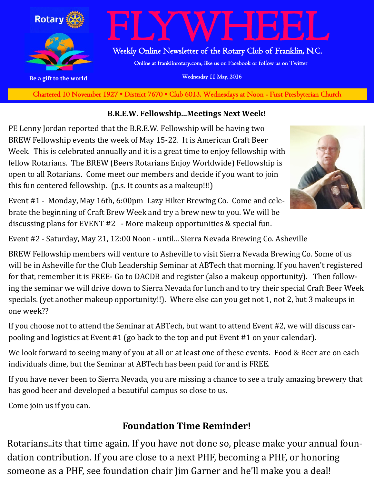

**Charted November 29, 1927 • District 7670 • Club 6013 Wednesdays at Noon - First Presbyterian Church** Chartered 10 November 1927 • District 7670 • Club 6013. Wednesdays at Noon - First Presbyterian Church

#### **B.R.E.W. Fellowship...Meetings Next Week!**

PE Lenny Jordan reported that the B.R.E.W. Fellowship will be having two BREW Fellowship events the week of May 15-22. It is American Craft Beer Week. This is celebrated annually and it is a great time to enjoy fellowship with fellow Rotarians. The BREW (Beers Rotarians Enjoy Worldwide) Fellowship is open to all Rotarians. Come meet our members and decide if you want to join this fun centered fellowship. (p.s. It counts as a makeup!!!)



Event #1 - Monday, May 16th, 6:00pm Lazy Hiker Brewing Co. Come and celebrate the beginning of Craft Brew Week and try a brew new to you. We will be discussing plans for EVENT #2 - More makeup opportunities & special fun.

Event #2 - Saturday, May 21, 12:00 Noon - until... Sierra Nevada Brewing Co. Asheville

BREW Fellowship members will venture to Asheville to visit Sierra Nevada Brewing Co. Some of us will be in Asheville for the Club Leadership Seminar at ABTech that morning. If you haven't registered for that, remember it is FREE- Go to DACDB and register (also a makeup opportunity). Then following the seminar we will drive down to Sierra Nevada for lunch and to try their special Craft Beer Week specials. (yet another makeup opportunity!!). Where else can you get not 1, not 2, but 3 makeups in one week??

If you choose not to attend the Seminar at ABTech, but want to attend Event #2, we will discuss carpooling and logistics at Event #1 (go back to the top and put Event #1 on your calendar).

We look forward to seeing many of you at all or at least one of these events. Food & Beer are on each individuals dime, but the Seminar at ABTech has been paid for and is FREE.

If you have never been to Sierra Nevada, you are missing a chance to see a truly amazing brewery that has good beer and developed a beautiful campus so close to us.

Come join us if you can.

#### **Foundation Time Reminder!**

Rotarians..its that time again. If you have not done so, please make your annual foundation contribution. If you are close to a next PHF, becoming a PHF, or honoring someone as a PHF, see foundation chair Jim Garner and he'll make you a deal!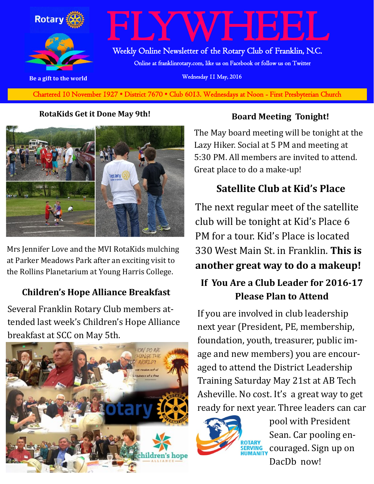

Chartered 10 November 1927 • District 7670 • Club 6013. Wednesdays at Noon - First Presbyterian Church

#### **RotaKids Get it Done May 9th!**



Mrs Jennifer Love and the MVI RotaKids mulching at Parker Meadows Park after an exciting visit to the Rollins Planetarium at Young Harris College.

#### **Children's Hope Alliance Breakfast**

Several Franklin Rotary Club members attended last week's Children's Hope Alliance breakfast at SCC on May 5th.



#### **Board Meeting Tonight!**

The May board meeting will be tonight at the Lazy Hiker. Social at 5 PM and meeting at 5:30 PM. All members are invited to attend. Great place to do a make-up!

#### **Satellite Club at Kid's Place**

The next regular meet of the satellite club will be tonight at Kid's Place 6 PM for a tour. Kid's Place is located 330 West Main St. in Franklin. **This is another great way to do a makeup!**

#### **If You Are a Club Leader for 2016-17 Please Plan to Attend**

If you are involved in club leadership next year (President, PE, membership, foundation, youth, treasurer, public image and new members) you are encouraged to attend the District Leadership Training Saturday May 21st at AB Tech Asheville. No cost. It's a great way to get ready for next year. Three leaders can car



pool with President Sean. Car pooling encouraged. Sign up on DacDh now!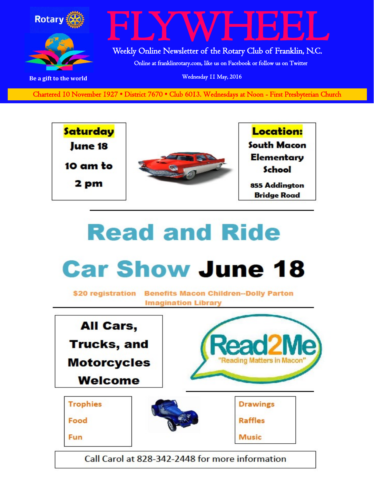

Chartered 10 November 1927 • District 7670 • Club 6013. Wednesdays at Noon - First Presbyterian Church



## **Read and Ride**

### **Car Show June 18**

\$20 registration Benefits Macon Children--Dolly Parton **Imagination Library** 



Call Carol at 828-342-2448 for more information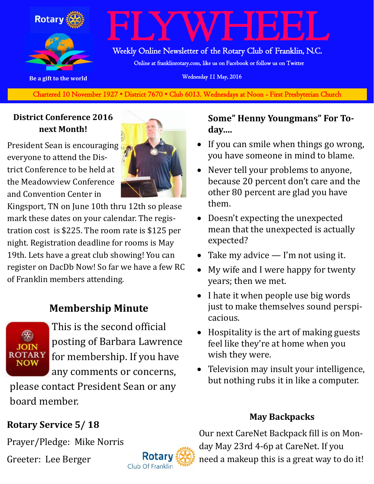

# FLYWHEEL

Weekly Online Newsletter of the Rotary Club of Franklin, N.C.

Online at franklinrotary.com, like us on Facebook or follow us on Twitter

**Be a gift to the world Be a gift to the world Wednesday 11 May, 2016** 

Chartered 10 November 1927 • District 7670 • Club 6013. Wednesdays at Noon - First Presbyterian Church

#### **District Conference 2016 next Month!**

President Sean is encouraging everyone to attend the District Conference to be held at the Meadowview Conference and Convention Center in

Kingsport, TN on June 10th thru 12th so please mark these dates on your calendar. The registration cost is \$225. The room rate is \$125 per night. Registration deadline for rooms is May 19th. Lets have a great club showing! You can register on DacDb Now! So far we have a few RC of Franklin members attending.

#### **Membership Minute**



This is the second official posting of Barbara Lawrence for membership. If you have any comments or concerns,

please contact President Sean or any board member.

#### **Rotary Service 5/ 18**

Prayer/Pledge: Mike Norris

Greeter: Lee Berger



#### **Some" Henny Youngmans" For Today….**

- If you can smile when things go wrong, you have someone in mind to blame.
- Never tell your problems to anyone, because 20 percent don't care and the other 80 percent are glad you have them.
- Doesn't expecting the unexpected mean that the unexpected is actually expected?
- Take my advice  $-$  I'm not using it.
- My wife and I were happy for twenty years; then we met.
- I hate it when people use big words just to make themselves sound perspicacious.
- Hospitality is the art of making guests feel like they're at home when you wish they were.
- Television may insult your intelligence, but nothing rubs it in like a computer.

#### **May Backpacks**

Our next CareNet Backpack fill is on Monday May 23rd 4-6p at CareNet. If you need a makeup this is a great way to do it!